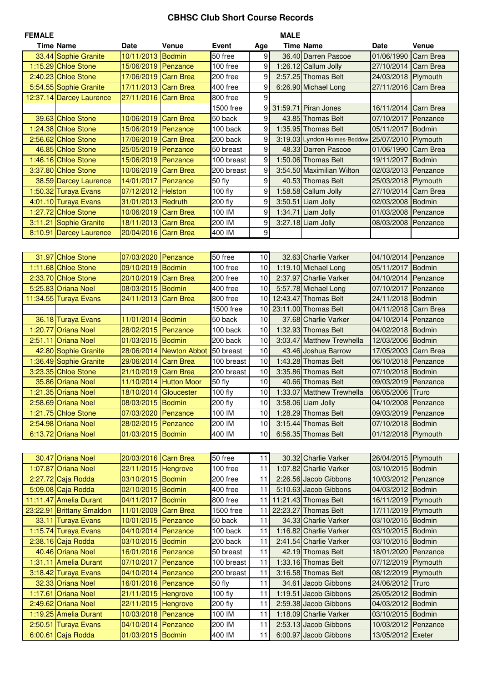## **CBHSC Club Short Course Records**

| <b>FEMALE</b> |                           |                       |                         |            |                 | <b>MALE</b> |                              |                      |                  |
|---------------|---------------------------|-----------------------|-------------------------|------------|-----------------|-------------|------------------------------|----------------------|------------------|
|               | <b>Time Name</b>          | <b>Date</b>           | <b>Venue</b>            | Event      | Age             |             | <b>Time Name</b>             | <b>Date</b>          | Venue            |
|               | 33.44 Sophie Granite      | 10/11/2013            | <b>Bodmin</b>           | 50 free    | 9               |             | 36.40 Darren Pascoe          | 01/06/1990           | <b>Carn Brea</b> |
|               | 1:15.29 Chloe Stone       | 15/06/2019            | Penzance                | 100 free   | 9               |             | 1:26.12 Callum Jolly         | 27/10/2014 Carn Brea |                  |
|               | 2:40.23 Chloe Stone       | 17/06/2019            | <b>Carn Brea</b>        | 200 free   | 9               |             | 2:57.25 Thomas Belt          | 24/03/2018           | Plymouth         |
|               | 5:54.55 Sophie Granite    | 17/11/2013            | <b>Carn Brea</b>        | 400 free   | 9               |             | 6:26.90 Michael Long         | 27/11/2016           | <b>Carn Brea</b> |
|               | 12:37.14 Darcey Laurence  | 27/11/2016            | <b>Carn Brea</b>        | 800 free   | 9               |             |                              |                      |                  |
|               |                           |                       |                         |            |                 |             |                              |                      |                  |
|               |                           |                       |                         | 1500 free  |                 |             | 9 31:59.71 Piran Jones       | 16/11/2014 Carn Brea |                  |
|               | 39.63 Chloe Stone         | 10/06/2019            | <b>Carn Brea</b>        | 50 back    | $\overline{9}$  |             | 43.85 Thomas Belt            | 07/10/2017           | Penzance         |
|               | 1:24.38 Chloe Stone       | 15/06/2019            | Penzance                | 100 back   | 9               |             | 1:35.95 Thomas Belt          | 05/11/2017           | Bodmin           |
|               | 2:56.62 Chloe Stone       | 17/06/2019            | <b>Carn Brea</b>        | 200 back   | 9               |             | 3:19.03 Lyndon Holmes-Beddow | 25/07/2010 Plymouth  |                  |
|               | 46.85 Chloe Stone         | 25/05/2019            | Penzance                | 50 breast  | 9               |             | 48.33 Darren Pascoe          | 01/06/1990           | <b>Carn Brea</b> |
|               | 1:46.16 Chloe Stone       | 15/06/2019            | Penzance                | 100 breast | 9               |             | 1:50.06 Thomas Belt          | 19/11/2017           | <b>Bodmin</b>    |
|               | 3:37.80 Chloe Stone       | 10/06/2019            | <b>Carn Brea</b>        | 200 breast | 9               |             | 3:54.50 Maximilian Wilton    | 02/03/2013           | Penzance         |
|               | 38.59 Darcey Laurence     | 14/01/2017            | Penzance                | 50 fly     | $\overline{9}$  |             | 40.53 Thomas Belt            | 25/03/2018 Plymouth  |                  |
|               | 1:50.32 Turaya Evans      | 07/12/2012            | <b>Helston</b>          | 100 fly    | 9               |             | 1:58.58 Callum Jolly         | 27/10/2014           | Carn Brea        |
|               | 4:01.10 Turaya Evans      | 31/01/2013            | Redruth                 | 200 fly    | 9               |             | 3:50.51 Liam Jolly           | 02/03/2008           | <b>Bodmin</b>    |
|               | 1:27.72 Chloe Stone       | 10/06/2019            | <b>Carn Brea</b>        | 100 IM     | 9               |             | $1:34.71$ Liam Jolly         | 01/03/2008           | Penzance         |
|               | 3:11.21 Sophie Granite    | 18/11/2013            | <b>Carn Brea</b>        | 200 IM     | 9               |             | 3:27.18 Liam Jolly           | 08/03/2008           | Penzance         |
|               | 8:10.91 Darcey Laurence   | 20/04/2016            | <b>Carn Brea</b>        | 400 IM     | $\overline{9}$  |             |                              |                      |                  |
|               |                           |                       |                         |            |                 |             |                              |                      |                  |
|               | 31.97 Chloe Stone         | 07/03/2020            | Penzance                | 50 free    | 10              |             | 32.63 Charlie Varker         | 04/10/2014 Penzance  |                  |
|               | 1:11.68 Chloe Stone       | 09/10/2019            | Bodmin                  | 100 free   | 10 <sup>1</sup> |             | 1:19.10 Michael Long         | 05/11/2017           | <b>Bodmin</b>    |
|               | 2:33.70 Chloe Stone       |                       |                         |            | 10 <sup>1</sup> |             |                              |                      |                  |
|               |                           | 20/10/2019            | Carn Brea               | 200 free   |                 |             | 2:37.97 Charlie Varker       | 04/10/2014 Penzance  |                  |
|               | 5:25.83 Oriana Noel       | 08/03/2015            | <b>Bodmin</b>           | 400 free   | 10              |             | 5:57.78 Michael Long         | 07/10/2017           | Penzance         |
|               | 11:34.55 Turaya Evans     | 24/11/2013            | Carn Brea               | 800 free   | 10 <sup>1</sup> |             | 12:43.47 Thomas Belt         | 24/11/2018 Bodmin    |                  |
|               |                           |                       |                         | 1500 free  | 10              |             | 23:11.00 Thomas Belt         | 04/11/2018 Carn Brea |                  |
|               | 36.18 Turaya Evans        | 11/01/2014 Bodmin     |                         | 50 back    | 10              |             | 37.68 Charlie Varker         | 04/10/2014           | Penzance         |
|               | 1:20.77 Oriana Noel       | 28/02/2015 Penzance   |                         | 100 back   | 10              |             | 1:32.93 Thomas Belt          | 04/02/2018           | <b>Bodmin</b>    |
| 2:51.11       | <b>Oriana Noel</b>        | 01/03/2015            | Bodmin                  | 200 back   | 10              |             | 3:03.47 Matthew Trewhella    | 12/03/2006           | Bodmin           |
|               | 42.80 Sophie Granite      |                       | 28/06/2014 Newton Abbot | 50 breast  | 10              |             | 43.46 Joshua Barrow          | 17/05/2003 Carn Brea |                  |
|               | 1:36.49 Sophie Granite    | 29/06/2014            | Carn Brea               | 100 breast | 10              |             | 1:43.28 Thomas Belt          | 06/10/2018           | Penzance         |
|               | 3:23.35 Chloe Stone       | 21/10/2019            | <b>Carn Brea</b>        | 200 breast | 10              |             | 3:35.86 Thomas Belt          | 07/10/2018 Bodmin    |                  |
|               | 35.86 Oriana Noel         | 11/10/2014            | <b>Hutton Moor</b>      | 50 fly     | 10              |             | 40.66 Thomas Belt            | 09/03/2019           | Penzance         |
|               | 1:21.35 Oriana Noel       | 18/10/2014 Gloucester |                         | 100 fly    | 10 <sup>1</sup> |             | 1:33.07 Matthew Trewhella    | 06/05/2006 Truro     |                  |
|               | 2:58.69 Oriana Noel       | 08/03/2015 Bodmin     |                         | 200 fly    | 10              |             | 3:58.06 Liam Jolly           | 04/10/2008 Penzance  |                  |
|               | 1:21.75 Chloe Stone       | 07/03/2020            | Penzance                | 100 IM     | 10              |             | 1:28.29 Thomas Belt          | 09/03/2019 Penzance  |                  |
|               | 2:54.98 Oriana Noel       | 28/02/2015            | Penzance                | 200 IM     | 10 <sup>1</sup> |             | 3:15.44 Thomas Belt          | 07/10/2018 Bodmin    |                  |
|               | 6:13.72 Oriana Noel       | 01/03/2015            | Bodmin                  | 400 IM     | 10              |             | 6:56.35 Thomas Belt          | 01/12/2018 Plymouth  |                  |
|               |                           |                       |                         |            |                 |             |                              |                      |                  |
|               | 30.47 Oriana Noel         | 20/03/2016            | Carn Brea               | 50 free    | 11              |             | 30.32 Charlie Varker         | 26/04/2015           | Plymouth         |
|               | 1:07.87 Oriana Noel       | 22/11/2015            | Hengrove                | 100 free   | 11              |             | 1:07.82 Charlie Varker       | 03/10/2015           | Bodmin           |
|               | 2:27.72 Caja Rodda        | 03/10/2015            | Bodmin                  | 200 free   | 11              |             | 2:26.56 Jacob Gibbons        | 10/03/2012 Penzance  |                  |
|               |                           |                       |                         |            |                 |             | 5:10.63 Jacob Gibbons        |                      |                  |
|               | 5:09.08 Caja Rodda        | 02/10/2015            | Bodmin                  | 400 free   | 11              |             |                              | 04/03/2012           | <b>Bodmin</b>    |
|               | 11:11.47 Amelia Durant    | 04/11/2017            | Bodmin                  | 800 free   | 11              |             | 11:21.43 Thomas Belt         | 16/11/2019 Plymouth  |                  |
|               | 23:22.91 Brittany Smaldon | 11/01/2009            | <b>Carn Brea</b>        | 1500 free  | 11              |             | 22:23.27 Thomas Belt         | 17/11/2019 Plymouth  |                  |
|               | 33.11 Turaya Evans        | 10/01/2015            | Penzance                | 50 back    | 11              |             | 34.33 Charlie Varker         | 03/10/2015 Bodmin    |                  |
|               | 1:15.74 Turaya Evans      | 04/10/2014            | Penzance                | 100 back   | 11              |             | 1:16.82 Charlie Varker       | 03/10/2015 Bodmin    |                  |
|               | 2:38.16 Caja Rodda        | 03/10/2015            | Bodmin                  | 200 back   | 11              |             | 2:41.54 Charlie Varker       | 03/10/2015 Bodmin    |                  |
|               | 40.46 Oriana Noel         | 16/01/2016            | Penzance                | 50 breast  | 11              |             | 42.19 Thomas Belt            | 18/01/2020           | Penzance         |
|               | 1:31.11 Amelia Durant     | 07/10/2017            | Penzance                | 100 breast | 11              |             | 1:33.16 Thomas Belt          | 07/12/2019 Plymouth  |                  |
|               | 3:18.42 Turaya Evans      | 04/10/2014            | Penzance                | 200 breast | 11              |             | 3:16.58 Thomas Belt          | 08/12/2019           | Plymouth         |
|               | 32.33 Oriana Noel         | 16/01/2016            | Penzance                | 50 fly     | 11              |             | 34.61 Jacob Gibbons          | 24/06/2012           | Truro            |
| 1:17.61       | <b>Oriana Noel</b>        | 21/11/2015 Hengrove   |                         | 100 fly    | 11              |             | 1:19.51 Jacob Gibbons        | 26/05/2012           | Bodmin           |
|               | 2:49.62 Oriana Noel       | 22/11/2015            | Hengrove                | 200 fly    | 11              |             | 2:59.38 Jacob Gibbons        | 04/03/2012           | <b>Bodmin</b>    |
|               | 1:19.25 Amelia Durant     | 10/03/2018            | Penzance                | 100 IM     | 11              |             | 1:18.09 Charlie Varker       | 03/10/2015           | <b>Bodmin</b>    |
|               | 2:50.51 Turaya Evans      | 04/10/2014            | Penzance                | 200 IM     | 11              |             | 2:53.13 Jacob Gibbons        | 10/03/2012           | Penzance         |
|               | 6:00.61 Caja Rodda        | 01/03/2015            | Bodmin                  | 400 IM     | 11              |             | 6:00.97 Jacob Gibbons        | 13/05/2012           | Exeter           |
|               |                           |                       |                         |            |                 |             |                              |                      |                  |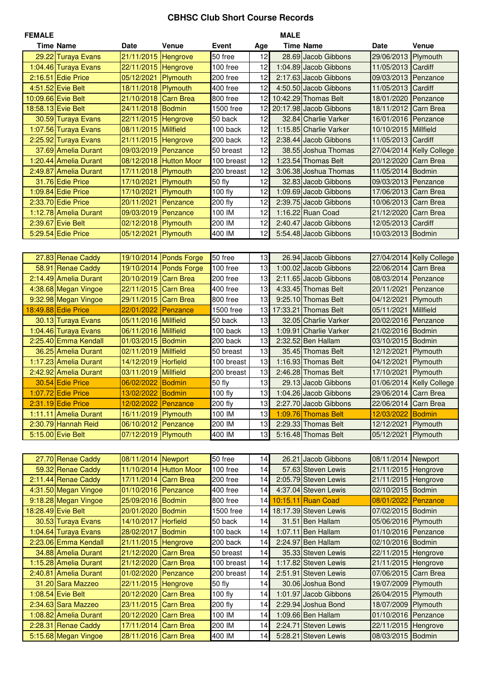## **CBHSC Club Short Course Records**

| <b>FEMALE</b> |                       |                      |                        |              |     | <b>MALE</b> |                        |                      |                          |
|---------------|-----------------------|----------------------|------------------------|--------------|-----|-------------|------------------------|----------------------|--------------------------|
|               | <b>Time Name</b>      | Date                 | Venue                  | <b>Event</b> | Age |             | <b>Time Name</b>       | <b>Date</b>          | <b>Venue</b>             |
|               | 29.22 Turaya Evans    | 21/11/2015           | Hengrove               | 50 free      | 12  |             | 28.69 Jacob Gibbons    | 29/06/2013 Plymouth  |                          |
|               | 1:04.46 Turaya Evans  | 22/11/2015 Hengrove  |                        | 100 free     | 12  |             | 1:04.89 Jacob Gibbons  | 11/05/2013 Cardiff   |                          |
|               | 2:16.51 Edie Price    | 05/12/2021           | Plymouth               | 200 free     | 12  |             | 2:17.63 Jacob Gibbons  | 09/03/2013 Penzance  |                          |
|               | 4:51.52 Evie Belt     | 18/11/2018           | Plymouth               | 400 free     | 12  |             | 4:50.50 Jacob Gibbons  | 11/05/2013 Cardiff   |                          |
|               | 10:09.66 Evie Belt    | 21/10/2018           | <b>Carn Brea</b>       | 800 free     | 12  |             | 10:42.29 Thomas Belt   | 18/01/2020 Penzance  |                          |
|               | 18:58.13 Evie Belt    | 24/11/2018           | Bodmin                 | 1500 free    | 12  |             | 20:17.98 Jacob Gibbons | 18/11/2012 Carn Brea |                          |
|               | 30.59 Turaya Evans    | 22/11/2015 Hengrove  |                        | 50 back      | 12  |             | 32.84 Charlie Varker   | 16/01/2016 Penzance  |                          |
|               | 1:07.56 Turaya Evans  | 08/11/2015           | Millfield              | 100 back     | 12  |             | 1:15.85 Charlie Varker | 10/10/2015 Millfield |                          |
|               | 2:25.92 Turaya Evans  | 21/11/2015           | Hengrove               | 200 back     | 12  |             | 2:38.44 Jacob Gibbons  | 11/05/2013           | Cardiff                  |
|               | 37.69 Amelia Durant   | 09/03/2019 Penzance  |                        | 50 breast    | 12  |             | 38.55 Joshua Thomas    |                      | 27/04/2014 Kelly College |
|               | 1:20.44 Amelia Durant | 08/12/2018           | <b>Hutton Moor</b>     | 100 breast   | 12  |             | 1:23.54 Thomas Belt    | 20/12/2020           | Carn Brea                |
|               | 2:49.87 Amelia Durant | 17/11/2018           | Plymouth               | 200 breast   | 12  |             | 3:06.38 Joshua Thomas  | 11/05/2014           | Bodmin                   |
|               |                       |                      |                        |              | 12  |             |                        |                      |                          |
|               | 31.76 Edie Price      | 17/10/2021           | Plymouth               | 50 fly       | 12  |             | 32.83 Jacob Gibbons    | 09/03/2013 Penzance  |                          |
|               | $1:09.84$ Edie Price  | 17/10/2021           | Plymouth               | 100 fly      |     |             | 1:09.69 Jacob Gibbons  | 17/06/2013           | Carn Brea                |
|               | 2:33.70 Edie Price    | 20/11/2021           | Penzance               | 200 fly      | 12  |             | 2:39.75 Jacob Gibbons  | 10/06/2013           | Carn Brea                |
|               | 1:12.78 Amelia Durant | 09/03/2019           | Penzance               | 100 IM       | 12  |             | 1:16.22 Ruan Coad      | 21/12/2020           | Carn Brea                |
|               | 2:39.67 Evie Belt     | 02/12/2018           | Plymouth               | 200 IM       | 12  |             | 2:40.47 Jacob Gibbons  | 12/05/2013 Cardiff   |                          |
|               | 5:29.54 Edie Price    | 05/12/2021           | Plymouth               | 400 IM       | 12  |             | 5:54.48 Jacob Gibbons  | 10/03/2013 Bodmin    |                          |
|               |                       |                      |                        |              |     |             |                        |                      |                          |
|               | 27.83 Renae Caddy     |                      | 19/10/2014 Ponds Forge | 50 free      | 13  |             | 26.94 Jacob Gibbons    |                      | 27/04/2014 Kelly College |
|               | 58.91 Renae Caddy     |                      | 19/10/2014 Ponds Forge | 100 free     | 13  |             | 1:00.02 Jacob Gibbons  | 22/06/2014 Carn Brea |                          |
|               | 2:14.49 Amelia Durant | 20/10/2019           | <b>Carn Brea</b>       | 200 free     | 13  |             | 2:11.65 Jacob Gibbons  | 08/03/2014 Penzance  |                          |
|               | 4:38.68 Megan Vingoe  | 22/11/2015           | <b>Carn Brea</b>       | 400 free     | 13  |             | 4:33.45 Thomas Belt    | 20/11/2021           | Penzance                 |
|               | 9:32.98 Megan Vingoe  | 29/11/2015           | <b>Carn Brea</b>       | 800 free     | 13  |             | 9:25.10 Thomas Belt    | 04/12/2021           | Plymouth                 |
|               | 18:49.88 Edie Price   | 22/01/2022           | <b>Penzance</b>        | 1500 free    | 13  |             | 17:33.21 Thomas Belt   | 05/11/2021           | <b>Millfield</b>         |
|               | 30.13 Turaya Evans    | 05/11/2016 Millfield |                        | 50 back      | 13  |             | 32.05 Charlie Varker   | 20/02/2016           | Penzance                 |
|               | 1:04.46 Turaya Evans  | 06/11/2016 Millfield |                        | 100 back     | 13  |             | 1:09.91 Charlie Varker | 21/02/2016 Bodmin    |                          |
|               | 2:25.40 Emma Kendall  | 01/03/2015           | Bodmin                 | 200 back     | 13  |             | 2:32.52 Ben Hallam     | 03/10/2015 Bodmin    |                          |
|               | 36.25 Amelia Durant   | 02/11/2019           | Millfield              | 50 breast    | 13  |             | 35.45 Thomas Belt      | 12/12/2021           | Plymouth                 |
|               | 1:17.23 Amelia Durant | 14/12/2019           | Horfield               | 100 breast   | 13  |             | 1:16.93 Thomas Belt    | 04/12/2021           | Plymouth                 |
|               | 2:42.92 Amelia Durant | 03/11/2019           | Millfield              | 200 breast   | 13  |             | 2:46.28 Thomas Belt    | 17/10/2021           | Plymouth                 |
|               | 30.54 Edie Price      | 06/02/2022           | Bodmin                 | 50 fly       | 13  |             | 29.13 Jacob Gibbons    |                      | 01/06/2014 Kelly College |
|               | 1:07.72 Edie Price    | 13/02/2022 Bodmin    |                        | 100 fly      | 13  |             | 1:04.26 Jacob Gibbons  | 29/06/2014 Carn Brea |                          |
|               | 2:31.19 Edie Price    | 12/02/2022 Penzance  |                        | 200 fly      | 13  |             | 2:27.70 Jacob Gibbons  | 22/06/2014 Carn Brea |                          |
|               | 1:11.11 Amelia Durant | 16/11/2019           | Plymouth               | 100 IM       | 13  |             | 1:09.76 Thomas Belt    | 12/03/2022           | Bodmin                   |
|               | 2:30.79 Hannah Reid   | 06/10/2012 Penzance  |                        | 200 IM       | 13  |             | 2:29.33 Thomas Belt    | 12/12/2021           | Plymouth                 |
|               | 5:15.00 Evie Belt     | 07/12/2019 Plymouth  |                        | 400 IM       | 13  |             | 5:16.48 Thomas Belt    | 05/12/2021           | Plymouth                 |
|               |                       |                      |                        |              |     |             |                        |                      |                          |
|               |                       |                      |                        |              |     |             |                        |                      |                          |
|               | 27.70 Renae Caddy     | 08/11/2014 Newport   |                        | 50 free      | 14  |             | 26.21 Jacob Gibbons    | 08/11/2014 Newport   |                          |
|               | 59.32 Renae Caddy     |                      | 11/10/2014 Hutton Moor | 100 free     | 14  |             | 57.63 Steven Lewis     | 21/11/2015 Hengrove  |                          |
|               | 2:11.44 Renae Caddy   | 17/11/2014           | Carn Brea              | 200 free     | 14  |             | 2:05.79 Steven Lewis   | 21/11/2015 Hengrove  |                          |
|               | 4:31.50 Megan Vingoe  | 01/10/2016           | Penzance               | 400 free     | 14  |             | 4:37.04 Steven Lewis   | 02/10/2015 Bodmin    |                          |
|               | 9:18.28 Megan Vingoe  | 25/09/2016 Bodmin    |                        | 800 free     | 14  |             | 10:15.11 Ruan Coad     | 08/01/2022           | Penzance                 |
|               | 18:28.49 Evie Belt    | 20/01/2020           | Bodmin                 | 1500 free    | 14  |             | 18:17.39 Steven Lewis  | 07/02/2015 Bodmin    |                          |
|               | 30.53 Turaya Evans    | 14/10/2017           | Horfield               | 50 back      | 14  |             | 31.51 Ben Hallam       | 05/06/2016 Plymouth  |                          |
|               | 1:04.64 Turaya Evans  | 28/02/2017           | Bodmin                 | 100 back     | 14  |             | 1:07.11 Ben Hallam     | 01/10/2016 Penzance  |                          |
|               | 2:23.06 Emma Kendall  | 21/11/2015 Hengrove  |                        | 200 back     | 14  |             | 2:24.97 Ben Hallam     | 02/10/2016 Bodmin    |                          |
|               | 34.88 Amelia Durant   | 21/12/2020           | <b>Carn Brea</b>       | 50 breast    | 14  |             | 35.33 Steven Lewis     | 22/11/2015 Hengrove  |                          |
|               | 1:15.28 Amelia Durant | 21/12/2020           | <b>Carn Brea</b>       | 100 breast   | 14  |             | 1:17.82 Steven Lewis   | 21/11/2015           | Hengrove                 |
|               | 2:40.81 Amelia Durant | 01/02/2020           | Penzance               | 200 breast   | 14  |             | 2:51.91 Steven Lewis   | 07/06/2015           | Carn Brea                |
|               | 31.20 Sara Mazzeo     | 22/11/2015           | Hengrove               | 50 fly       | 14  |             | 30.06 Joshua Bond      | 19/07/2009           | Plymouth                 |
|               | 1:08.54 Evie Belt     | 20/12/2020           | <b>Carn Brea</b>       | 100 fly      | 14  |             | 1:01.97 Jacob Gibbons  | 26/04/2015 Plymouth  |                          |
|               | 2:34.63 Sara Mazzeo   | 23/11/2015           | <b>Carn Brea</b>       | 200 fly      | 14  |             | 2:29.94 Joshua Bond    | 18/07/2009 Plymouth  |                          |
|               | 1:08.82 Amelia Durant | 20/12/2020           | <b>Carn Brea</b>       | 100 IM       | 14  |             | 1:09.66 Ben Hallam     | 01/10/2016 Penzance  |                          |
|               | 2:28.31 Renae Caddy   | 17/11/2014           | <b>Carn Brea</b>       | 200 IM       | 14  |             | 2:24.71 Steven Lewis   | 22/11/2015 Hengrove  |                          |
|               | 5:15.68 Megan Vingoe  | 28/11/2016           | <b>Carn Brea</b>       | 400 IM       | 14  |             | 5:28.21 Steven Lewis   | 08/03/2015 Bodmin    |                          |